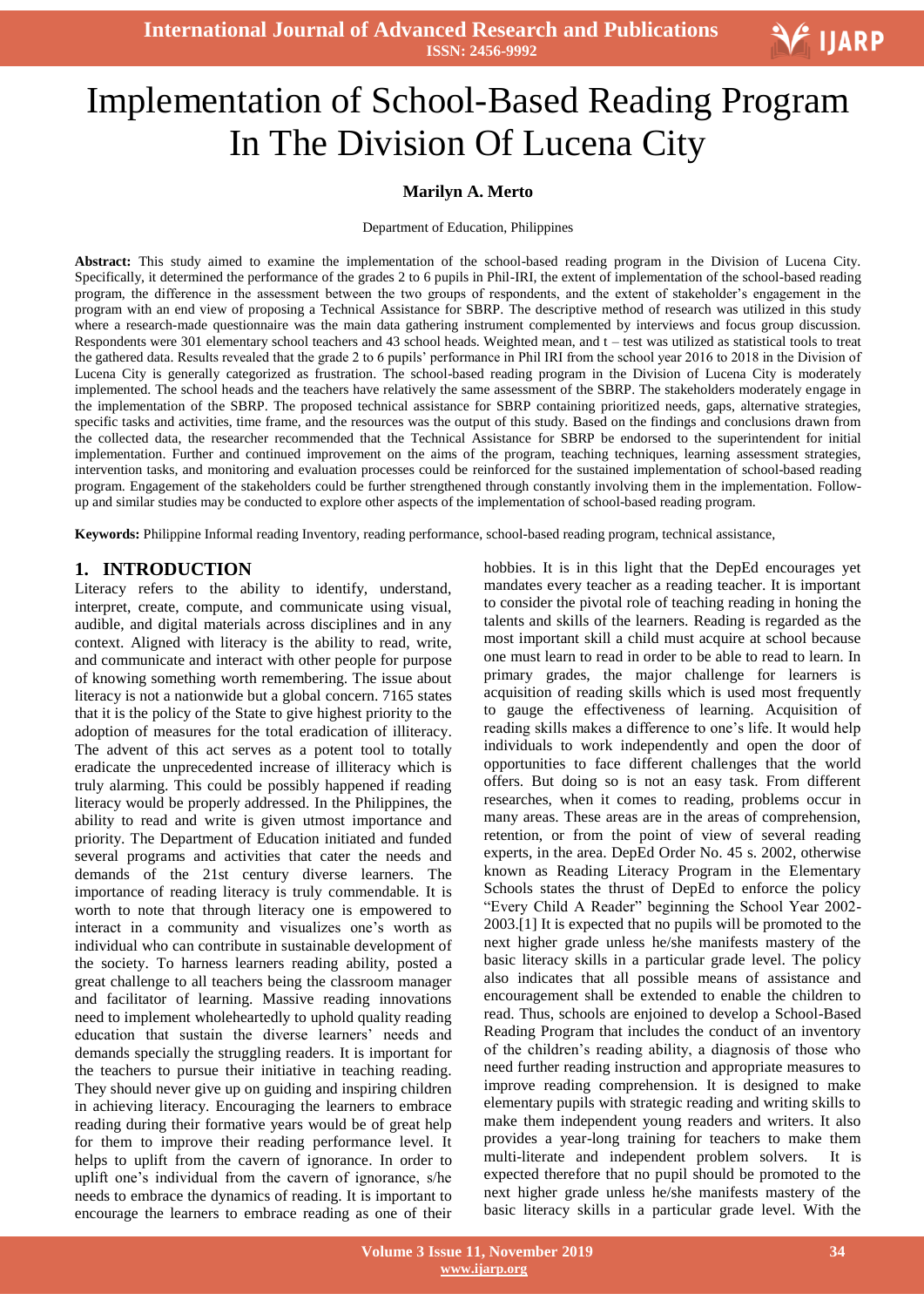**International Journal of Advanced Research and Publications ISSN: 2456-9992**

# Ξ Implementation of School-Based Reading Program In The Division Of Lucena City

#### **Marilyn A. Merto**

Department of Education, Philippines

**Abstract:** This study aimed to examine the implementation of the school-based reading program in the Division of Lucena City. Specifically, it determined the performance of the grades 2 to 6 pupils in Phil-IRI, the extent of implementation of the school-based reading program, the difference in the assessment between the two groups of respondents, and the extent of stakeholder's engagement in the program with an end view of proposing a Technical Assistance for SBRP. The descriptive method of research was utilized in this study where a research-made questionnaire was the main data gathering instrument complemented by interviews and focus group discussion. Respondents were 301 elementary school teachers and 43 school heads. Weighted mean, and t – test was utilized as statistical tools to treat the gathered data. Results revealed that the grade 2 to 6 pupils' performance in Phil IRI from the school year 2016 to 2018 in the Division of Lucena City is generally categorized as frustration. The school-based reading program in the Division of Lucena City is moderately implemented. The school heads and the teachers have relatively the same assessment of the SBRP. The stakeholders moderately engage in the implementation of the SBRP. The proposed technical assistance for SBRP containing prioritized needs, gaps, alternative strategies, specific tasks and activities, time frame, and the resources was the output of this study. Based on the findings and conclusions drawn from the collected data, the researcher recommended that the Technical Assistance for SBRP be endorsed to the superintendent for initial implementation. Further and continued improvement on the aims of the program, teaching techniques, learning assessment strategies, intervention tasks, and monitoring and evaluation processes could be reinforced for the sustained implementation of school-based reading program. Engagement of the stakeholders could be further strengthened through constantly involving them in the implementation. Followup and similar studies may be conducted to explore other aspects of the implementation of school-based reading program.

**Keywords:** Philippine Informal reading Inventory, reading performance, school-based reading program, technical assistance,

#### **1. INTRODUCTION**

Literacy refers to the ability to identify, understand, interpret, create, compute, and communicate using visual, audible, and digital materials across disciplines and in any context. Aligned with literacy is the ability to read, write, and communicate and interact with other people for purpose of knowing something worth remembering. The issue about literacy is not a nationwide but a global concern. 7165 states that it is the policy of the State to give highest priority to the adoption of measures for the total eradication of illiteracy. The advent of this act serves as a potent tool to totally eradicate the unprecedented increase of illiteracy which is truly alarming. This could be possibly happened if reading literacy would be properly addressed. In the Philippines, the ability to read and write is given utmost importance and priority. The Department of Education initiated and funded several programs and activities that cater the needs and demands of the 21st century diverse learners. The importance of reading literacy is truly commendable. It is worth to note that through literacy one is empowered to interact in a community and visualizes one's worth as individual who can contribute in sustainable development of the society. To harness learners reading ability, posted a great challenge to all teachers being the classroom manager and facilitator of learning. Massive reading innovations need to implement wholeheartedly to uphold quality reading education that sustain the diverse learners' needs and demands specially the struggling readers. It is important for the teachers to pursue their initiative in teaching reading. They should never give up on guiding and inspiring children in achieving literacy. Encouraging the learners to embrace reading during their formative years would be of great help for them to improve their reading performance level. It helps to uplift from the cavern of ignorance. In order to uplift one's individual from the cavern of ignorance, s/he needs to embrace the dynamics of reading. It is important to encourage the learners to embrace reading as one of their

hobbies. It is in this light that the DepEd encourages yet mandates every teacher as a reading teacher. It is important to consider the pivotal role of teaching reading in honing the talents and skills of the learners. Reading is regarded as the most important skill a child must acquire at school because one must learn to read in order to be able to read to learn. In primary grades, the major challenge for learners is acquisition of reading skills which is used most frequently to gauge the effectiveness of learning. Acquisition of reading skills makes a difference to one's life. It would help individuals to work independently and open the door of opportunities to face different challenges that the world offers. But doing so is not an easy task. From different researches, when it comes to reading, problems occur in many areas. These areas are in the areas of comprehension, retention, or from the point of view of several reading experts, in the area. DepEd Order No. 45 s. 2002, otherwise known as Reading Literacy Program in the Elementary Schools states the thrust of DepEd to enforce the policy "Every Child A Reader" beginning the School Year 2002- 2003.[1] It is expected that no pupils will be promoted to the next higher grade unless he/she manifests mastery of the basic literacy skills in a particular grade level. The policy also indicates that all possible means of assistance and encouragement shall be extended to enable the children to read. Thus, schools are enjoined to develop a School-Based Reading Program that includes the conduct of an inventory of the children's reading ability, a diagnosis of those who need further reading instruction and appropriate measures to improve reading comprehension. It is designed to make elementary pupils with strategic reading and writing skills to make them independent young readers and writers. It also provides a year-long training for teachers to make them multi-literate and independent problem solvers. It is expected therefore that no pupil should be promoted to the next higher grade unless he/she manifests mastery of the basic literacy skills in a particular grade level. With the

V IJARP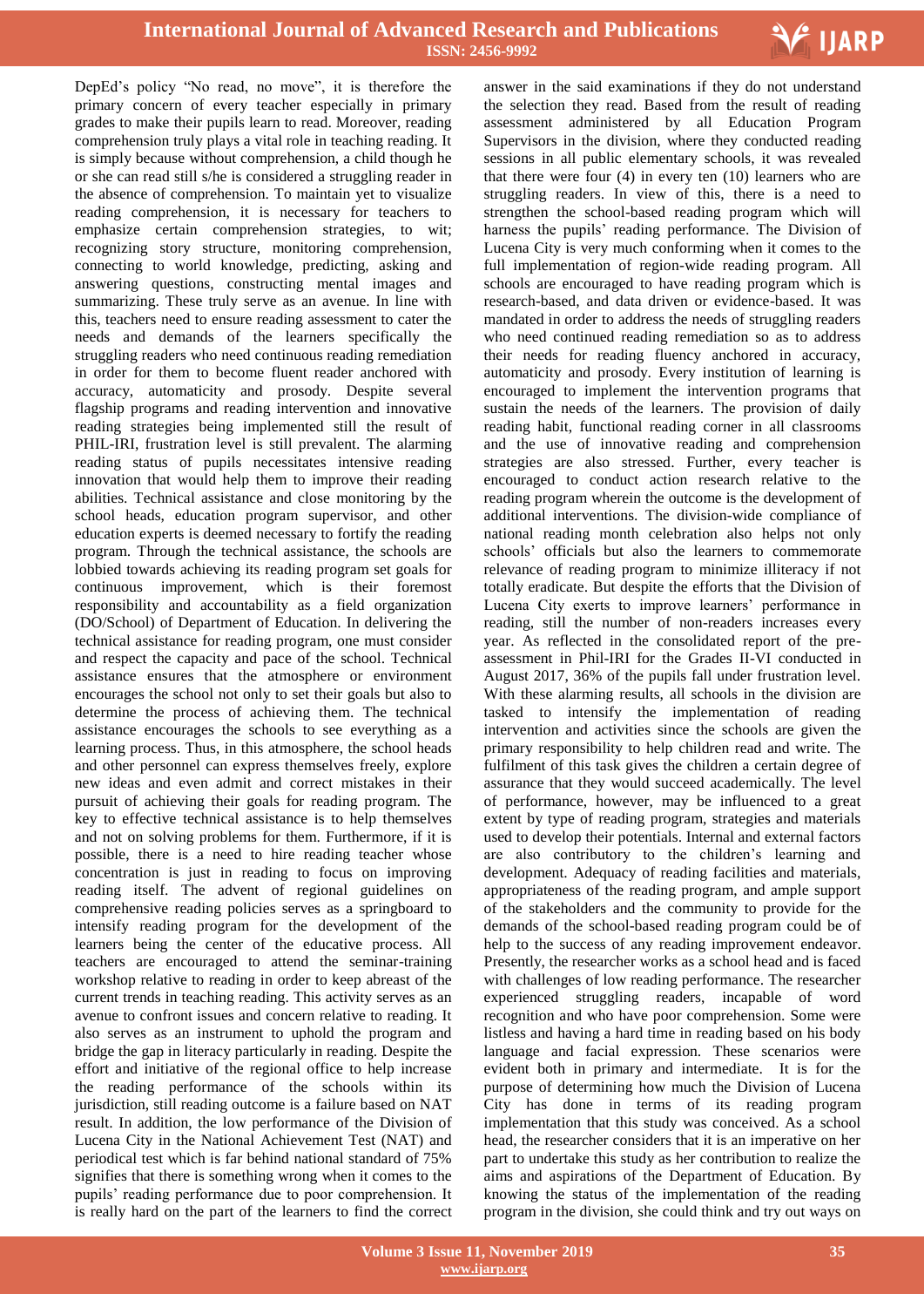

DepEd's policy "No read, no move", it is therefore the primary concern of every teacher especially in primary grades to make their pupils learn to read. Moreover, reading comprehension truly plays a vital role in teaching reading. It is simply because without comprehension, a child though he or she can read still s/he is considered a struggling reader in the absence of comprehension. To maintain yet to visualize reading comprehension, it is necessary for teachers to emphasize certain comprehension strategies, to wit; recognizing story structure, monitoring comprehension, connecting to world knowledge, predicting, asking and answering questions, constructing mental images and summarizing. These truly serve as an avenue. In line with this, teachers need to ensure reading assessment to cater the needs and demands of the learners specifically the struggling readers who need continuous reading remediation in order for them to become fluent reader anchored with accuracy, automaticity and prosody. Despite several flagship programs and reading intervention and innovative reading strategies being implemented still the result of PHIL-IRI, frustration level is still prevalent. The alarming reading status of pupils necessitates intensive reading innovation that would help them to improve their reading abilities. Technical assistance and close monitoring by the school heads, education program supervisor, and other education experts is deemed necessary to fortify the reading program. Through the technical assistance, the schools are lobbied towards achieving its reading program set goals for continuous improvement, which is their foremost responsibility and accountability as a field organization (DO/School) of Department of Education. In delivering the technical assistance for reading program, one must consider and respect the capacity and pace of the school. Technical assistance ensures that the atmosphere or environment encourages the school not only to set their goals but also to determine the process of achieving them. The technical assistance encourages the schools to see everything as a learning process. Thus, in this atmosphere, the school heads and other personnel can express themselves freely, explore new ideas and even admit and correct mistakes in their pursuit of achieving their goals for reading program. The key to effective technical assistance is to help themselves and not on solving problems for them. Furthermore, if it is possible, there is a need to hire reading teacher whose concentration is just in reading to focus on improving reading itself. The advent of regional guidelines on comprehensive reading policies serves as a springboard to intensify reading program for the development of the learners being the center of the educative process. All teachers are encouraged to attend the seminar-training workshop relative to reading in order to keep abreast of the current trends in teaching reading. This activity serves as an avenue to confront issues and concern relative to reading. It also serves as an instrument to uphold the program and bridge the gap in literacy particularly in reading. Despite the effort and initiative of the regional office to help increase the reading performance of the schools within its jurisdiction, still reading outcome is a failure based on NAT result. In addition, the low performance of the Division of Lucena City in the National Achievement Test (NAT) and periodical test which is far behind national standard of 75% signifies that there is something wrong when it comes to the pupils' reading performance due to poor comprehension. It is really hard on the part of the learners to find the correct

 answer in the said examinations if they do not understand the selection they read. Based from the result of reading assessment administered by all Education Program Supervisors in the division, where they conducted reading sessions in all public elementary schools, it was revealed that there were four (4) in every ten (10) learners who are struggling readers. In view of this, there is a need to strengthen the school-based reading program which will harness the pupils' reading performance. The Division of Lucena City is very much conforming when it comes to the full implementation of region-wide reading program. All schools are encouraged to have reading program which is research-based, and data driven or evidence-based. It was mandated in order to address the needs of struggling readers who need continued reading remediation so as to address their needs for reading fluency anchored in accuracy, automaticity and prosody. Every institution of learning is encouraged to implement the intervention programs that sustain the needs of the learners. The provision of daily reading habit, functional reading corner in all classrooms and the use of innovative reading and comprehension strategies are also stressed. Further, every teacher is encouraged to conduct action research relative to the reading program wherein the outcome is the development of additional interventions. The division-wide compliance of national reading month celebration also helps not only schools' officials but also the learners to commemorate relevance of reading program to minimize illiteracy if not totally eradicate. But despite the efforts that the Division of Lucena City exerts to improve learners' performance in reading, still the number of non-readers increases every year. As reflected in the consolidated report of the preassessment in Phil-IRI for the Grades II-VI conducted in August 2017, 36% of the pupils fall under frustration level. With these alarming results, all schools in the division are tasked to intensify the implementation of reading intervention and activities since the schools are given the primary responsibility to help children read and write. The fulfilment of this task gives the children a certain degree of assurance that they would succeed academically. The level of performance, however, may be influenced to a great extent by type of reading program, strategies and materials used to develop their potentials. Internal and external factors are also contributory to the children's learning and development. Adequacy of reading facilities and materials, appropriateness of the reading program, and ample support of the stakeholders and the community to provide for the demands of the school-based reading program could be of help to the success of any reading improvement endeavor. Presently, the researcher works as a school head and is faced with challenges of low reading performance. The researcher experienced struggling readers, incapable of word recognition and who have poor comprehension. Some were listless and having a hard time in reading based on his body language and facial expression. These scenarios were evident both in primary and intermediate. It is for the purpose of determining how much the Division of Lucena City has done in terms of its reading program implementation that this study was conceived. As a school head, the researcher considers that it is an imperative on her part to undertake this study as her contribution to realize the aims and aspirations of the Department of Education. By knowing the status of the implementation of the reading program in the division, she could think and try out ways on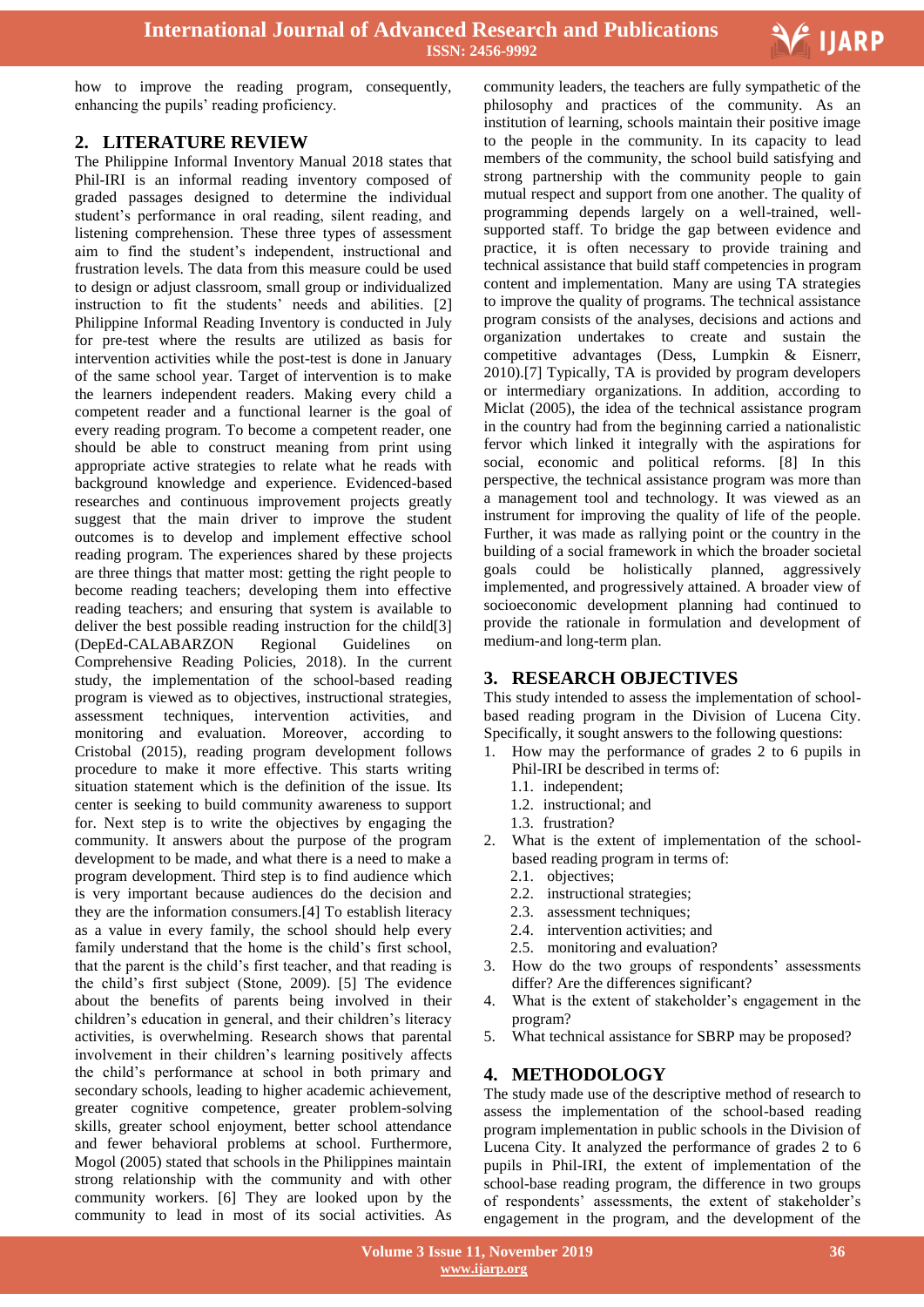

how to improve the reading program, consequently, enhancing the pupils' reading proficiency.

#### **2. LITERATURE REVIEW**

The Philippine Informal Inventory Manual 2018 states that Phil-IRI is an informal reading inventory composed of graded passages designed to determine the individual student's performance in oral reading, silent reading, and listening comprehension. These three types of assessment aim to find the student's independent, instructional and frustration levels. The data from this measure could be used to design or adjust classroom, small group or individualized instruction to fit the students' needs and abilities. [2] Philippine Informal Reading Inventory is conducted in July for pre-test where the results are utilized as basis for intervention activities while the post-test is done in January of the same school year. Target of intervention is to make the learners independent readers. Making every child a competent reader and a functional learner is the goal of every reading program. To become a competent reader, one should be able to construct meaning from print using appropriate active strategies to relate what he reads with background knowledge and experience. Evidenced-based researches and continuous improvement projects greatly suggest that the main driver to improve the student outcomes is to develop and implement effective school reading program. The experiences shared by these projects are three things that matter most: getting the right people to become reading teachers; developing them into effective reading teachers; and ensuring that system is available to deliver the best possible reading instruction for the child[3] (DepEd-CALABARZON Regional Guidelines on Comprehensive Reading Policies, 2018). In the current study, the implementation of the school-based reading program is viewed as to objectives, instructional strategies, assessment techniques, intervention activities, and monitoring and evaluation. Moreover, according to Cristobal (2015), reading program development follows procedure to make it more effective. This starts writing situation statement which is the definition of the issue. Its center is seeking to build community awareness to support for. Next step is to write the objectives by engaging the community. It answers about the purpose of the program development to be made, and what there is a need to make a program development. Third step is to find audience which is very important because audiences do the decision and they are the information consumers.[4] To establish literacy as a value in every family, the school should help every family understand that the home is the child's first school, that the parent is the child's first teacher, and that reading is the child's first subject (Stone, 2009). [5] The evidence about the benefits of parents being involved in their children's education in general, and their children's literacy activities, is overwhelming. Research shows that parental involvement in their children's learning positively affects the child's performance at school in both primary and secondary schools, leading to higher academic achievement, greater cognitive competence, greater problem-solving skills, greater school enjoyment, better school attendance and fewer behavioral problems at school. Furthermore, Mogol (2005) stated that schools in the Philippines maintain strong relationship with the community and with other community workers. [6] They are looked upon by the community to lead in most of its social activities. As

 community leaders, the teachers are fully sympathetic of the philosophy and practices of the community. As an institution of learning, schools maintain their positive image to the people in the community. In its capacity to lead members of the community, the school build satisfying and strong partnership with the community people to gain mutual respect and support from one another. The quality of programming depends largely on a well-trained, wellsupported staff. To bridge the gap between evidence and practice, it is often necessary to provide training and technical assistance that build staff competencies in program content and implementation. Many are using TA strategies to improve the quality of programs. The technical assistance program consists of the analyses, decisions and actions and organization undertakes to create and sustain the competitive advantages (Dess, Lumpkin & Eisnerr, 2010).[7] Typically, TA is provided by program developers or intermediary organizations. In addition, according to Miclat (2005), the idea of the technical assistance program in the country had from the beginning carried a nationalistic fervor which linked it integrally with the aspirations for social, economic and political reforms. [8] In this perspective, the technical assistance program was more than a management tool and technology. It was viewed as an instrument for improving the quality of life of the people. Further, it was made as rallying point or the country in the building of a social framework in which the broader societal goals could be holistically planned, aggressively implemented, and progressively attained. A broader view of socioeconomic development planning had continued to provide the rationale in formulation and development of medium-and long-term plan.

## **3. RESEARCH OBJECTIVES**

This study intended to assess the implementation of schoolbased reading program in the Division of Lucena City. Specifically, it sought answers to the following questions:

- 1. How may the performance of grades 2 to 6 pupils in Phil-IRI be described in terms of:
	- 1.1. independent;
	- 1.2. instructional; and
	- 1.3. frustration?
- 2. What is the extent of implementation of the schoolbased reading program in terms of:
	- 2.1. objectives;
	- 2.2. instructional strategies;
	- 2.3. assessment techniques;
	- 2.4. intervention activities; and
	- 2.5. monitoring and evaluation?
- 3. How do the two groups of respondents' assessments differ? Are the differences significant?
- What is the extent of stakeholder's engagement in the program?
- 5. What technical assistance for SBRP may be proposed?

## **4. METHODOLOGY**

The study made use of the descriptive method of research to assess the implementation of the school-based reading program implementation in public schools in the Division of Lucena City. It analyzed the performance of grades 2 to 6 pupils in Phil-IRI, the extent of implementation of the school-base reading program, the difference in two groups of respondents' assessments, the extent of stakeholder's engagement in the program, and the development of the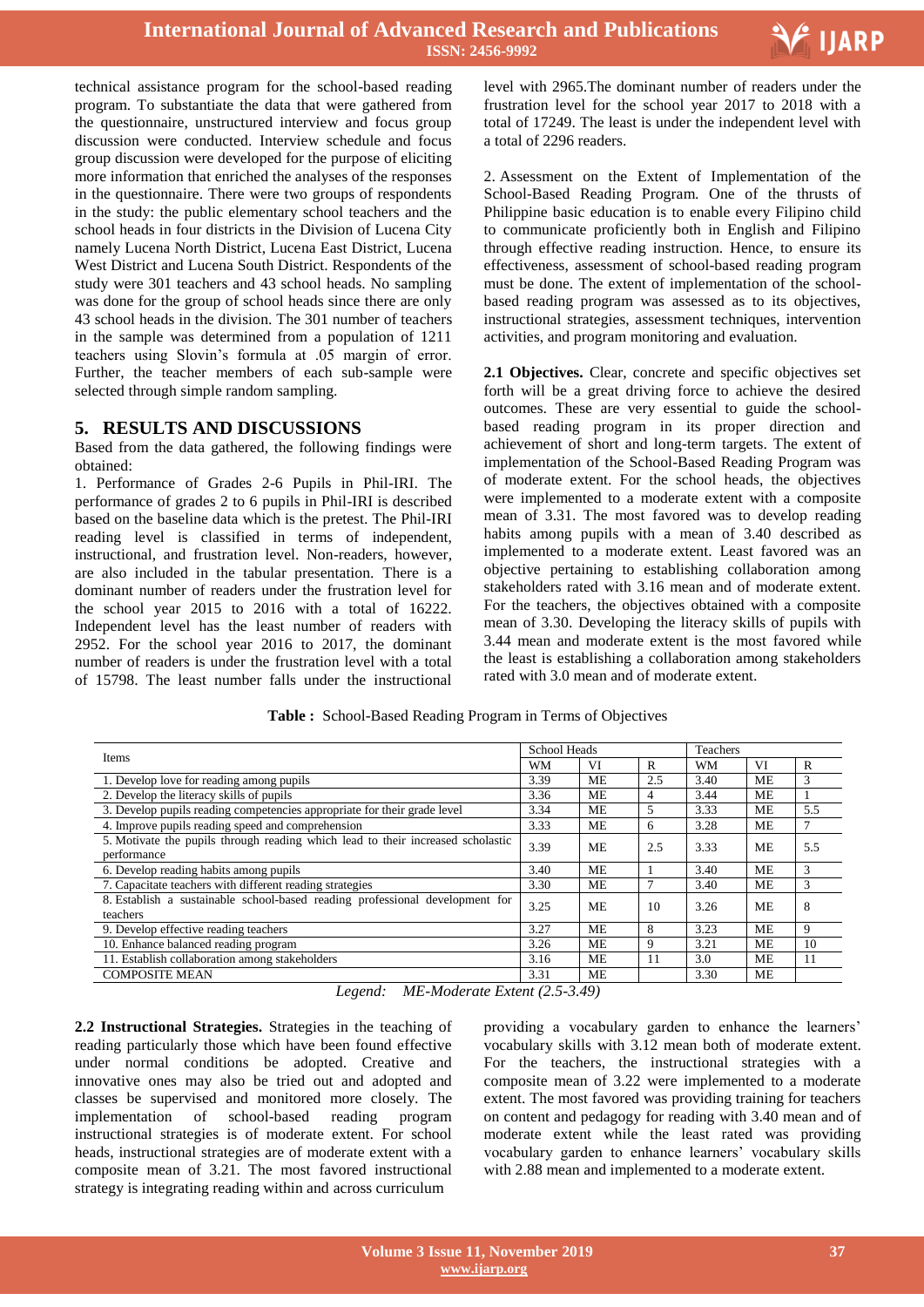

technical assistance program for the school-based reading program. To substantiate the data that were gathered from the questionnaire, unstructured interview and focus group discussion were conducted. Interview schedule and focus group discussion were developed for the purpose of eliciting more information that enriched the analyses of the responses in the questionnaire. There were two groups of respondents in the study: the public elementary school teachers and the school heads in four districts in the Division of Lucena City namely Lucena North District, Lucena East District, Lucena West District and Lucena South District. Respondents of the study were 301 teachers and 43 school heads. No sampling was done for the group of school heads since there are only 43 school heads in the division. The 301 number of teachers in the sample was determined from a population of 1211 teachers using Slovin's formula at .05 margin of error. Further, the teacher members of each sub-sample were selected through simple random sampling.

## **5. RESULTS AND DISCUSSIONS**

Based from the data gathered, the following findings were obtained:

1. Performance of Grades 2-6 Pupils in Phil-IRI. The performance of grades 2 to 6 pupils in Phil-IRI is described based on the baseline data which is the pretest. The Phil-IRI reading level is classified in terms of independent, instructional, and frustration level. Non-readers, however, are also included in the tabular presentation. There is a dominant number of readers under the frustration level for the school year 2015 to 2016 with a total of 16222. Independent level has the least number of readers with 2952. For the school year 2016 to 2017, the dominant number of readers is under the frustration level with a total of 15798. The least number falls under the instructional

 level with 2965.The dominant number of readers under the frustration level for the school year 2017 to 2018 with a total of 17249. The least is under the independent level with a total of 2296 readers.

2. Assessment on the Extent of Implementation of the School-Based Reading Program. One of the thrusts of Philippine basic education is to enable every Filipino child to communicate proficiently both in English and Filipino through effective reading instruction. Hence, to ensure its effectiveness, assessment of school-based reading program must be done. The extent of implementation of the schoolbased reading program was assessed as to its objectives, instructional strategies, assessment techniques, intervention activities, and program monitoring and evaluation.

**2.1 Objectives.** Clear, concrete and specific objectives set forth will be a great driving force to achieve the desired outcomes. These are very essential to guide the schoolbased reading program in its proper direction and achievement of short and long-term targets. The extent of implementation of the School-Based Reading Program was of moderate extent. For the school heads, the objectives were implemented to a moderate extent with a composite mean of 3.31. The most favored was to develop reading habits among pupils with a mean of 3.40 described as implemented to a moderate extent. Least favored was an objective pertaining to establishing collaboration among stakeholders rated with 3.16 mean and of moderate extent. For the teachers, the objectives obtained with a composite mean of 3.30. Developing the literacy skills of pupils with 3.44 mean and moderate extent is the most favored while the least is establishing a collaboration among stakeholders rated with 3.0 mean and of moderate extent.

#### **Table :** School-Based Reading Program in Terms of Objectives

| Items                                                                                          | <b>School Heads</b> |           |                | Teachers  |           |     |  |
|------------------------------------------------------------------------------------------------|---------------------|-----------|----------------|-----------|-----------|-----|--|
|                                                                                                |                     | VI        | R              | <b>WM</b> | VI        | R   |  |
| 1. Develop love for reading among pupils                                                       | 3.39                | ME        | 2.5            | 3.40      | <b>ME</b> | 3   |  |
| 2. Develop the literacy skills of pupils                                                       | 3.36                | МE        | $\overline{4}$ | 3.44      | ME        |     |  |
| 3. Develop pupils reading competencies appropriate for their grade level                       | 3.34                | ME        | 5              | 3.33      | ME        | 5.5 |  |
| 4. Improve pupils reading speed and comprehension                                              | 3.33                | ME        | 6              | 3.28      | <b>ME</b> | 7   |  |
| 5. Motivate the pupils through reading which lead to their increased scholastic<br>performance | 3.39                | ME        | 2.5            | 3.33      | <b>ME</b> | 5.5 |  |
| 6. Develop reading habits among pupils                                                         | 3.40                | ME        |                | 3.40      | ME        | 3   |  |
| 7. Capacitate teachers with different reading strategies                                       | 3.30                | ME        | $\mathcal{I}$  | 3.40      | ME        | 3   |  |
| 8. Establish a sustainable school-based reading professional development for<br>teachers       | 3.25                | <b>ME</b> | 10             | 3.26      | <b>ME</b> | 8   |  |
| 9. Develop effective reading teachers                                                          | 3.27                | <b>ME</b> | 8              | 3.23      | <b>ME</b> | 9   |  |
| 10. Enhance balanced reading program                                                           | 3.26                | МE        | 9              | 3.21      | ME        | 10  |  |
| 11. Establish collaboration among stakeholders                                                 | 3.16                | ME        | 11             | 3.0       | <b>ME</b> | 11  |  |
| <b>COMPOSITE MEAN</b>                                                                          | 3.31                | ME        |                | 3.30      | ME        |     |  |

*Legend: ME-Moderate Extent (2.5-3.49)*

**2.2 Instructional Strategies.** Strategies in the teaching of reading particularly those which have been found effective under normal conditions be adopted. Creative and innovative ones may also be tried out and adopted and classes be supervised and monitored more closely. The implementation of school-based reading program instructional strategies is of moderate extent. For school heads, instructional strategies are of moderate extent with a composite mean of 3.21. The most favored instructional strategy is integrating reading within and across curriculum

providing a vocabulary garden to enhance the learners' vocabulary skills with 3.12 mean both of moderate extent. For the teachers, the instructional strategies with a composite mean of 3.22 were implemented to a moderate extent. The most favored was providing training for teachers on content and pedagogy for reading with 3.40 mean and of moderate extent while the least rated was providing vocabulary garden to enhance learners' vocabulary skills with 2.88 mean and implemented to a moderate extent.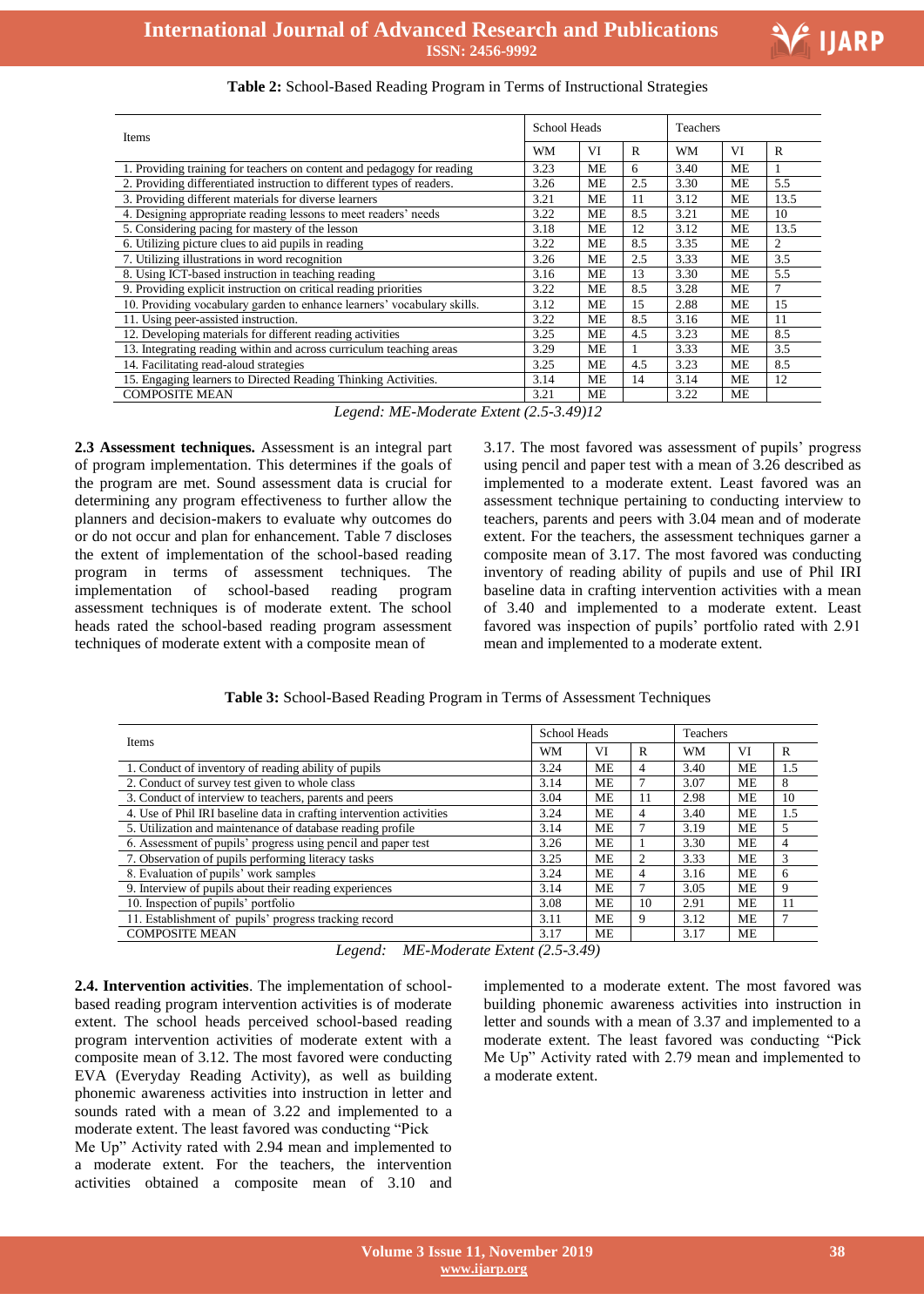

Ξ

| Table 2: School-Based Reading Program in Terms of Instructional Strategies |  |  |  |
|----------------------------------------------------------------------------|--|--|--|
|----------------------------------------------------------------------------|--|--|--|

| Items<br><b>WM</b>                                                      |      | School Heads |              |           | Teachers  |              |  |  |
|-------------------------------------------------------------------------|------|--------------|--------------|-----------|-----------|--------------|--|--|
|                                                                         |      | VI           | $\mathbf{R}$ | <b>WM</b> | VI        | $\mathbb{R}$ |  |  |
| 1. Providing training for teachers on content and pedagogy for reading  | 3.23 | ME           | 6            | 3.40      | ME        |              |  |  |
| 2. Providing differentiated instruction to different types of readers.  | 3.26 | ME           | 2.5          | 3.30      | МE        | 5.5          |  |  |
| 3. Providing different materials for diverse learners                   | 3.21 | <b>ME</b>    | 11           | 3.12      | <b>ME</b> | 13.5         |  |  |
| 4. Designing appropriate reading lessons to meet readers' needs         | 3.22 | <b>ME</b>    | 8.5          | 3.21      | <b>ME</b> | 10           |  |  |
| 5. Considering pacing for mastery of the lesson                         | 3.18 | ME           | 12           | 3.12      | ME        | 13.5         |  |  |
| 6. Utilizing picture clues to aid pupils in reading                     | 3.22 | ME           | 8.5          | 3.35      | <b>ME</b> | 2            |  |  |
| 7. Utilizing illustrations in word recognition                          | 3.26 | ME           | 2.5          | 3.33      | ME        | 3.5          |  |  |
| 8. Using ICT-based instruction in teaching reading                      | 3.16 | ME           | 13           | 3.30      | ME        | 5.5          |  |  |
| 9. Providing explicit instruction on critical reading priorities        | 3.22 | ME           | 8.5          | 3.28      | МE        | 7            |  |  |
| 10. Providing vocabulary garden to enhance learners' vocabulary skills. | 3.12 | ME           | 15           | 2.88      | ME        | 15           |  |  |
| 11. Using peer-assisted instruction.                                    | 3.22 | ME           | 8.5          | 3.16      | ME        | 11           |  |  |
| 12. Developing materials for different reading activities               | 3.25 | ME           | 4.5          | 3.23      | ME        | 8.5          |  |  |
| 13. Integrating reading within and across curriculum teaching areas     | 3.29 | <b>ME</b>    |              | 3.33      | <b>ME</b> | 3.5          |  |  |
| 14. Facilitating read-aloud strategies                                  | 3.25 | <b>ME</b>    | 4.5          | 3.23      | <b>ME</b> | 8.5          |  |  |
| 15. Engaging learners to Directed Reading Thinking Activities.          | 3.14 | <b>ME</b>    | 14           | 3.14      | ME        | 12           |  |  |
| <b>COMPOSITE MEAN</b>                                                   | 3.21 | <b>ME</b>    |              | 3.22      | ME        |              |  |  |

*Legend: ME-Moderate Extent (2.5-3.49)12*

**2.3 Assessment techniques.** Assessment is an integral part of program implementation. This determines if the goals of the program are met. Sound assessment data is crucial for determining any program effectiveness to further allow the planners and decision-makers to evaluate why outcomes do or do not occur and plan for enhancement. Table 7 discloses the extent of implementation of the school-based reading program in terms of assessment techniques. The implementation of school-based reading program assessment techniques is of moderate extent. The school heads rated the school-based reading program assessment techniques of moderate extent with a composite mean of

3.17. The most favored was assessment of pupils' progress using pencil and paper test with a mean of 3.26 described as implemented to a moderate extent. Least favored was an assessment technique pertaining to conducting interview to teachers, parents and peers with 3.04 mean and of moderate extent. For the teachers, the assessment techniques garner a composite mean of 3.17. The most favored was conducting inventory of reading ability of pupils and use of Phil IRI baseline data in crafting intervention activities with a mean of 3.40 and implemented to a moderate extent. Least favored was inspection of pupils' portfolio rated with 2.91 mean and implemented to a moderate extent.

**Table 3:** School-Based Reading Program in Terms of Assessment Techniques

| <b>Items</b>                                                         | School Heads |           |    | <b>Teachers</b> |           |     |
|----------------------------------------------------------------------|--------------|-----------|----|-----------------|-----------|-----|
|                                                                      | <b>WM</b>    | VI        | R  | <b>WM</b>       | VI        | R   |
| 1. Conduct of inventory of reading ability of pupils                 | 3.24         | ME        | 4  | 3.40            | ME        | 1.5 |
| 2. Conduct of survey test given to whole class                       | 3.14         | ME        |    | 3.07            | ME        | 8   |
| 3. Conduct of interview to teachers, parents and peers               | 3.04         | ME        | 11 | 2.98            | ME        | 10  |
| 4. Use of Phil IRI baseline data in crafting intervention activities | 3.24         | <b>ME</b> | 4  | 3.40            | ME        | 1.5 |
| 5. Utilization and maintenance of database reading profile           | 3.14         | ME        |    | 3.19            | ME        | 5   |
| 6. Assessment of pupils' progress using pencil and paper test        | 3.26         | ME        |    | 3.30            | ME        | 4   |
| 7. Observation of pupils performing literacy tasks                   | 3.25         | <b>ME</b> | 2  | 3.33            | ME        | 3   |
| 8. Evaluation of pupils' work samples                                | 3.24         | ME        | 4  | 3.16            | ME        | 6   |
| 9. Interview of pupils about their reading experiences               | 3.14         | <b>ME</b> |    | 3.05            | ME        | 9   |
| 10. Inspection of pupils' portfolio                                  | 3.08         | ME        | 10 | 2.91            | <b>ME</b> | 11  |
| 11. Establishment of pupils' progress tracking record                | 3.11         | ME        | 9  | 3.12            | ME        | 7   |
| <b>COMPOSITE MEAN</b>                                                | 3.17         | ME        |    | 3.17            | <b>ME</b> |     |

*Legend: ME-Moderate Extent (2.5-3.49)*

**2.4. Intervention activities**. The implementation of schoolbased reading program intervention activities is of moderate extent. The school heads perceived school-based reading program intervention activities of moderate extent with a composite mean of 3.12. The most favored were conducting EVA (Everyday Reading Activity), as well as building phonemic awareness activities into instruction in letter and sounds rated with a mean of 3.22 and implemented to a moderate extent. The least favored was conducting "Pick

Me Up" Activity rated with 2.94 mean and implemented to a moderate extent. For the teachers, the intervention activities obtained a composite mean of 3.10 and implemented to a moderate extent. The most favored was building phonemic awareness activities into instruction in letter and sounds with a mean of 3.37 and implemented to a moderate extent. The least favored was conducting "Pick Me Up" Activity rated with 2.79 mean and implemented to a moderate extent.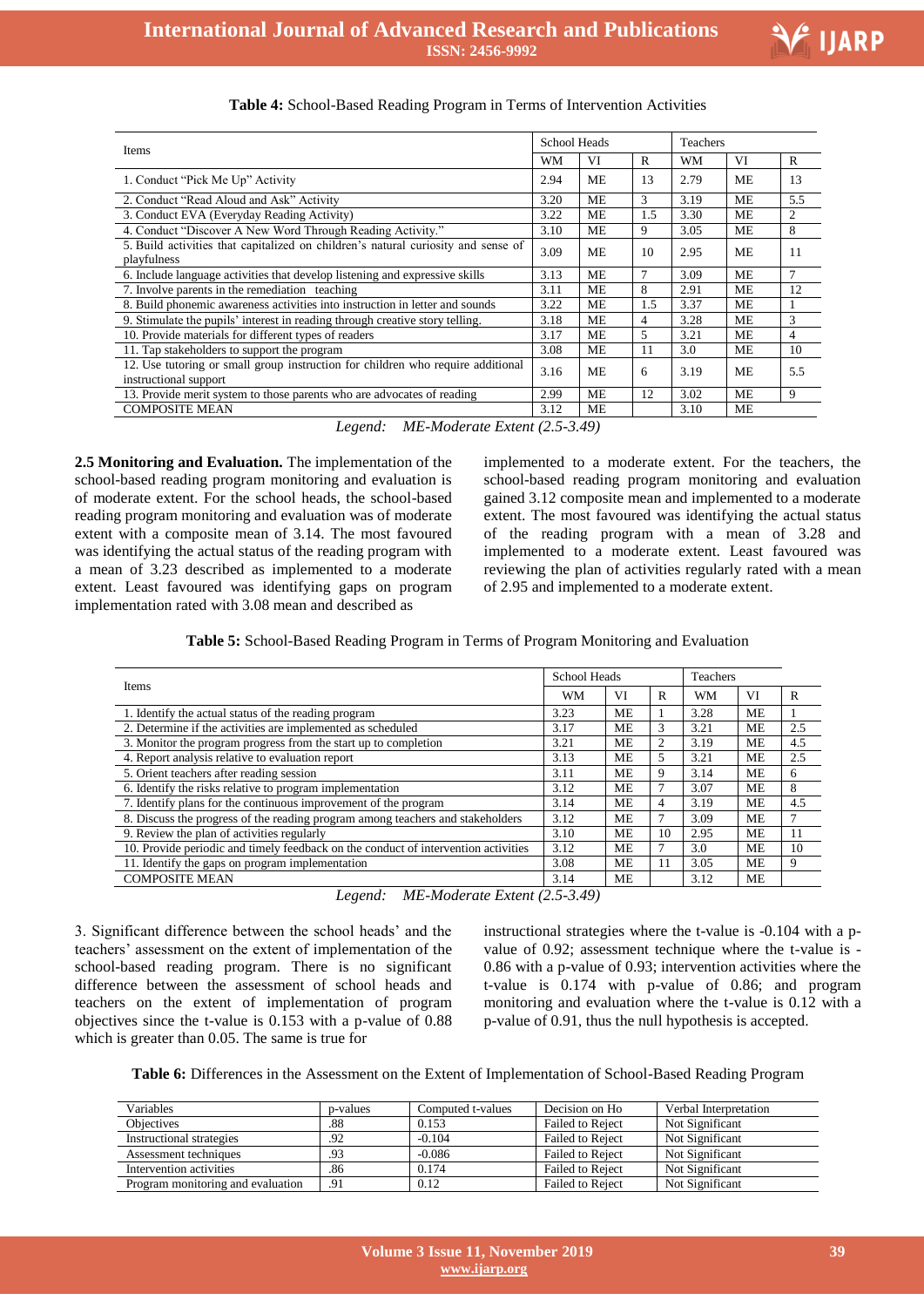Ξ

| Items                                                                                                    |      | <b>School Heads</b> |                          |           | Teachers  |              |  |  |
|----------------------------------------------------------------------------------------------------------|------|---------------------|--------------------------|-----------|-----------|--------------|--|--|
|                                                                                                          | WM   | VI                  | R                        | <b>WM</b> | VI        | $\mathbf{R}$ |  |  |
| 1. Conduct "Pick Me Up" Activity                                                                         | 2.94 | ME                  | 13                       | 2.79      | ME        | 13           |  |  |
| 2. Conduct "Read Aloud and Ask" Activity                                                                 | 3.20 | <b>ME</b>           | $\mathcal{F}$            | 3.19      | <b>ME</b> | 5.5          |  |  |
| 3. Conduct EVA (Everyday Reading Activity)                                                               | 3.22 | <b>ME</b>           | 1.5                      | 3.30      | ME        | 2            |  |  |
| 4. Conduct "Discover A New Word Through Reading Activity."                                               | 3.10 | ME                  | 9                        | 3.05      | ME        | 8            |  |  |
| 5. Build activities that capitalized on children's natural curiosity and sense of<br>playfulness         | 3.09 | ME                  | 10                       | 2.95      | ME        | 11           |  |  |
| 6. Include language activities that develop listening and expressive skills                              | 3.13 | <b>ME</b>           | 7                        | 3.09      | ME        | $\tau$       |  |  |
| 7. Involve parents in the remediation teaching                                                           | 3.11 | ME                  | 8                        | 2.91      | ME        | 12           |  |  |
| 8. Build phonemic awareness activities into instruction in letter and sounds                             | 3.22 | ME                  | 1.5                      | 3.37      | <b>ME</b> |              |  |  |
| 9. Stimulate the pupils' interest in reading through creative story telling.                             | 3.18 | <b>ME</b>           | 4                        | 3.28      | <b>ME</b> | 3            |  |  |
| 10. Provide materials for different types of readers                                                     | 3.17 | <b>ME</b>           | $\overline{\phantom{0}}$ | 3.21      | <b>ME</b> | 4            |  |  |
| 11. Tap stakeholders to support the program                                                              | 3.08 | <b>ME</b>           | 11                       | 3.0       | ME        | 10           |  |  |
| 12. Use tutoring or small group instruction for children who require additional<br>instructional support | 3.16 | <b>ME</b>           | 6                        | 3.19      | ME        | 5.5          |  |  |
| 13. Provide merit system to those parents who are advocates of reading                                   | 2.99 | <b>ME</b>           | 12                       | 3.02      | <b>ME</b> | 9            |  |  |
| <b>COMPOSITE MEAN</b>                                                                                    | 3.12 | <b>ME</b>           |                          | 3.10      | ME        |              |  |  |
| $MF_{d}$ Moderate Fytent (2.5, 3.40)<br>Logond:                                                          |      |                     |                          |           |           |              |  |  |

#### **Table 4:** School-Based Reading Program in Terms of Intervention Activities

*Legend: ME-Moderate Extent (2.5-3.49)*

**2.5 Monitoring and Evaluation.** The implementation of the school-based reading program monitoring and evaluation is of moderate extent. For the school heads, the school-based reading program monitoring and evaluation was of moderate extent with a composite mean of 3.14. The most favoured was identifying the actual status of the reading program with a mean of 3.23 described as implemented to a moderate extent. Least favoured was identifying gaps on program implementation rated with 3.08 mean and described as

implemented to a moderate extent. For the teachers, the school-based reading program monitoring and evaluation gained 3.12 composite mean and implemented to a moderate extent. The most favoured was identifying the actual status of the reading program with a mean of 3.28 and implemented to a moderate extent. Least favoured was reviewing the plan of activities regularly rated with a mean of 2.95 and implemented to a moderate extent.

**Table 5:** School-Based Reading Program in Terms of Program Monitoring and Evaluation

| <b>Items</b>                                                                       |      | School Heads |                | <b>Teachers</b> |           |             |
|------------------------------------------------------------------------------------|------|--------------|----------------|-----------------|-----------|-------------|
|                                                                                    |      | VI           | R              | <b>WM</b>       | VI        | $\mathbf R$ |
| 1. Identify the actual status of the reading program                               | 3.23 | ME           |                | 3.28            | ME        |             |
| 2. Determine if the activities are implemented as scheduled                        | 3.17 | ME           | 3              | 3.21            | <b>ME</b> | 2.5         |
| 3. Monitor the program progress from the start up to completion                    | 3.21 | ME           | 2              | 3.19            | ME        | 4.5         |
| 4. Report analysis relative to evaluation report                                   | 3.13 | <b>ME</b>    | 5              | 3.21            | <b>ME</b> | 2.5         |
| 5. Orient teachers after reading session                                           | 3.11 | <b>ME</b>    | 9              | 3.14            | <b>ME</b> | 6           |
| 6. Identify the risks relative to program implementation                           | 3.12 | <b>ME</b>    | 7              | 3.07            | <b>ME</b> | 8           |
| 7. Identify plans for the continuous improvement of the program                    | 3.14 | <b>ME</b>    | $\overline{4}$ | 3.19            | ME        | 4.5         |
| 8. Discuss the progress of the reading program among teachers and stakeholders     | 3.12 | ME           | 7              | 3.09            | ME        | 7           |
| 9. Review the plan of activities regularly                                         | 3.10 | ME           | 10             | 2.95            | ME        | 11          |
| 10. Provide periodic and timely feedback on the conduct of intervention activities | 3.12 | ME           | 7              | 3.0             | ME        | 10          |
| 11. Identify the gaps on program implementation                                    | 3.08 | ME           | 11             | 3.05            | ME        | 9           |
| <b>COMPOSITE MEAN</b>                                                              | 3.14 | ME           |                | 3.12            | ME        |             |

*Legend: ME-Moderate Extent (2.5-3.49)*

3. Significant difference between the school heads' and the teachers' assessment on the extent of implementation of the school-based reading program. There is no significant difference between the assessment of school heads and teachers on the extent of implementation of program objectives since the t-value is 0.153 with a p-value of 0.88 which is greater than 0.05. The same is true for

instructional strategies where the t-value is -0.104 with a pvalue of 0.92; assessment technique where the t-value is - 0.86 with a p-value of 0.93; intervention activities where the t-value is 0.174 with p-value of 0.86; and program monitoring and evaluation where the t-value is 0.12 with a p-value of 0.91, thus the null hypothesis is accepted.

**Table 6:** Differences in the Assessment on the Extent of Implementation of School-Based Reading Program

| Variables                         | p-values | Computed t-values | Decision on Ho          | Verbal Interpretation |
|-----------------------------------|----------|-------------------|-------------------------|-----------------------|
| <b>Objectives</b>                 | .88      | 0.153             | Failed to Reject        | Not Significant       |
| Instructional strategies          | .92      | $-0.104$          | <b>Failed to Reject</b> | Not Significant       |
| Assessment techniques             | .93      | $-0.086$          | Failed to Reject        | Not Significant       |
| Intervention activities           | .86      | 0.174             | <b>Failed to Reject</b> | Not Significant       |
| Program monitoring and evaluation | .91      | 0.12              | Failed to Reject        | Not Significant       |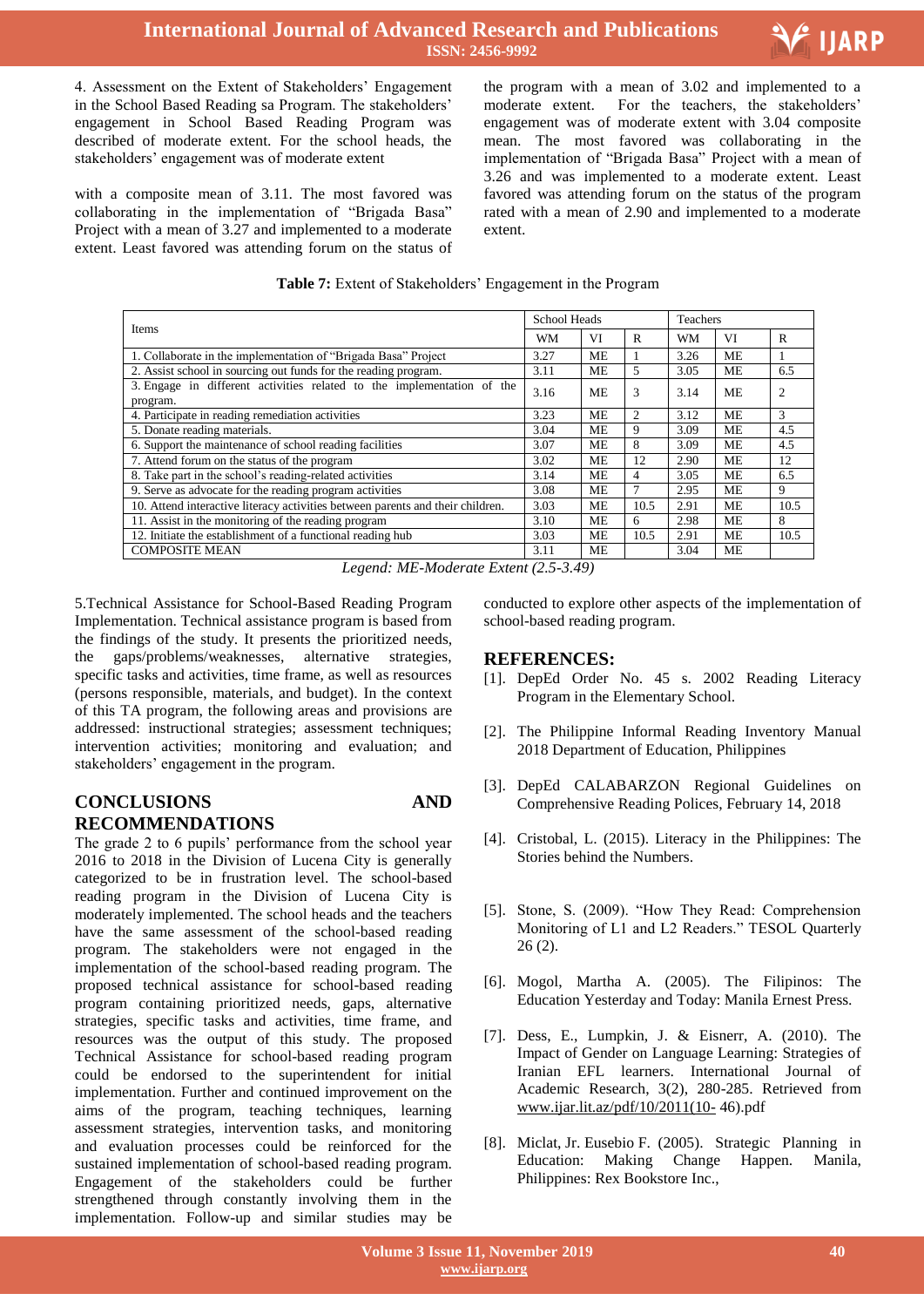## **International Journal of Advanced Research and Publications ISSN: 2456-9992**



4. Assessment on the Extent of Stakeholders' Engagement in the School Based Reading sa Program. The stakeholders' engagement in School Based Reading Program was described of moderate extent. For the school heads, the stakeholders' engagement was of moderate extent

with a composite mean of 3.11. The most favored was collaborating in the implementation of "Brigada Basa" Project with a mean of 3.27 and implemented to a moderate extent. Least favored was attending forum on the status of

 the program with a mean of 3.02 and implemented to a moderate extent. For the teachers, the stakeholders' engagement was of moderate extent with 3.04 composite mean. The most favored was collaborating in the implementation of "Brigada Basa" Project with a mean of 3.26 and was implemented to a moderate extent. Least favored was attending forum on the status of the program rated with a mean of 2.90 and implemented to a moderate extent.

| Items                                                                              | <b>School Heads</b> |           |      | Teachers |           |                |
|------------------------------------------------------------------------------------|---------------------|-----------|------|----------|-----------|----------------|
|                                                                                    |                     | VI        | R    | WM       | VI        | R              |
| 1. Collaborate in the implementation of "Brigada Basa" Project                     | 3.27                | ME        |      | 3.26     | ME        | 1              |
| 2. Assist school in sourcing out funds for the reading program.                    | 3.11                | ME        | 5    | 3.05     | ME        | 6.5            |
| 3. Engage in different activities related to the implementation of the<br>program. |                     | <b>ME</b> | 3    | 3.14     | <b>ME</b> | $\overline{c}$ |
| 4. Participate in reading remediation activities                                   | 3.23                | <b>ME</b> | 2    | 3.12     | <b>ME</b> | 3              |
| 5. Donate reading materials.                                                       | 3.04                | ME        | 9    | 3.09     | <b>ME</b> | 4.5            |
| 6. Support the maintenance of school reading facilities                            | 3.07                | ME        | 8    | 3.09     | <b>ME</b> | 4.5            |
| 7. Attend forum on the status of the program                                       | 3.02                | <b>ME</b> | 12   | 2.90     | <b>ME</b> | 12             |
| 8. Take part in the school's reading-related activities                            | 3.14                | ME        | 4    | 3.05     | ME        | 6.5            |
| 9. Serve as advocate for the reading program activities                            |                     | ME        | 7    | 2.95     | ME        | 9              |
| 10. Attend interactive literacy activities between parents and their children.     |                     | MЕ        | 10.5 | 2.91     | ME        | 10.5           |
| 11. Assist in the monitoring of the reading program                                |                     | ME        | 6    | 2.98     | ME        | 8              |
| 12. Initiate the establishment of a functional reading hub                         |                     | ME        | 10.5 | 2.91     | <b>ME</b> | 10.5           |
| <b>COMPOSITE MEAN</b>                                                              | 3.11                | <b>ME</b> |      | 3.04     | <b>ME</b> |                |

*Legend: ME-Moderate Extent (2.5-3.49)*

5.Technical Assistance for School-Based Reading Program Implementation. Technical assistance program is based from the findings of the study. It presents the prioritized needs, the gaps/problems/weaknesses, alternative strategies, specific tasks and activities, time frame, as well as resources (persons responsible, materials, and budget). In the context of this TA program, the following areas and provisions are addressed: instructional strategies; assessment techniques; intervention activities; monitoring and evaluation; and stakeholders' engagement in the program.

# **CONCLUSIONS AND RECOMMENDATIONS**

The grade 2 to 6 pupils' performance from the school year 2016 to 2018 in the Division of Lucena City is generally categorized to be in frustration level. The school-based reading program in the Division of Lucena City is moderately implemented. The school heads and the teachers have the same assessment of the school-based reading program. The stakeholders were not engaged in the implementation of the school-based reading program. The proposed technical assistance for school-based reading program containing prioritized needs, gaps, alternative strategies, specific tasks and activities, time frame, and resources was the output of this study. The proposed Technical Assistance for school-based reading program could be endorsed to the superintendent for initial implementation. Further and continued improvement on the aims of the program, teaching techniques, learning assessment strategies, intervention tasks, and monitoring and evaluation processes could be reinforced for the sustained implementation of school-based reading program. Engagement of the stakeholders could be further strengthened through constantly involving them in the implementation. Follow-up and similar studies may be

conducted to explore other aspects of the implementation of school-based reading program.

#### **REFERENCES:**

- [1]. DepEd Order No. 45 s. 2002 Reading Literacy Program in the Elementary School.
- [2]. The Philippine Informal Reading Inventory Manual 2018 Department of Education, Philippines
- [3]. DepEd CALABARZON Regional Guidelines on Comprehensive Reading Polices, February 14, 2018
- [4]. Cristobal, L. (2015). Literacy in the Philippines: The Stories behind the Numbers.
- [5]. Stone, S. (2009). "How They Read: Comprehension Monitoring of L1 and L2 Readers." TESOL Quarterly  $26(2)$ .
- [6]. Mogol, Martha A. (2005). The Filipinos: The Education Yesterday and Today: Manila Ernest Press.
- [7]. Dess, E., Lumpkin, J. & Eisnerr, A. (2010). The Impact of Gender on Language Learning: Strategies of Iranian EFL learners. International Journal of Academic Research, 3(2), 280-285. Retrieved from [www.ijar.lit.az/pdf/10/2011\(10-](http://www.ijar.lit.az/pdf/10/2011(10-) 46).pdf
- [8]. Miclat, Jr. Eusebio F. (2005). Strategic Planning in Education: Making Change Happen. Manila, Philippines: Rex Bookstore Inc.,